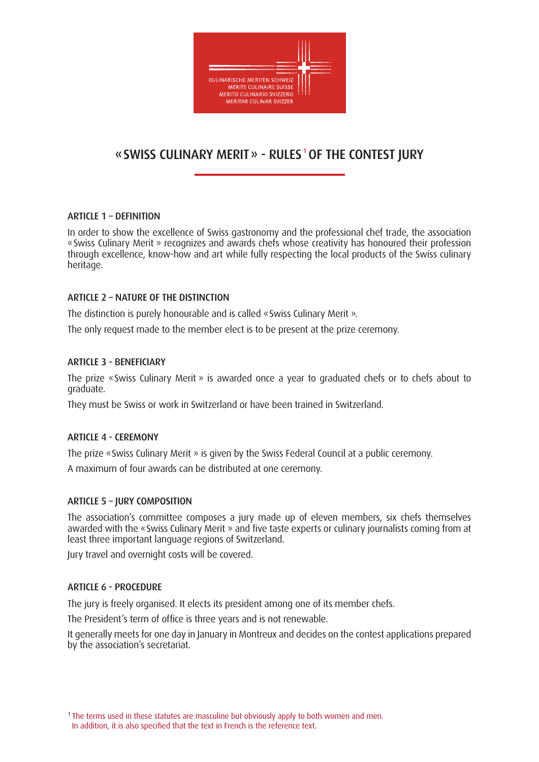

# «SWISS CULINARY MERIT» - RULES<sup>1</sup> OF THE CONTEST JURY

# ARTICLE  $1 -$  DEFINITION

In order to show the excellence of Swiss gastronomy and the professional chef trade, the association «Swiss Culinary Merit » recognizes and awards chefs whose creativity has honoured their profession through excellence, know-how and art while fully respecting the local products of the Swiss culinary heritage.

# ARTICLE 2 – NATURE OF THE DISTINCTION

The distinction is purely honourable and is called «Swiss Culinary Merit ».

The only request made to the member elect is to be present at the prize ceremony.

## ARTICLE 3 - BENEFICIARY

The prize «Swiss Culinary Merit » is awarded once a year to graduated chefs or to chefs about to graduate.

They must be Swiss or work in Switzerland or have been trained in Switzerland.

## ARTICLE 4 - CEREMONY

The prize «Swiss Culinary Merit » is given by the Swiss Federal Council at a public ceremony.

A maximum of four awards can be distributed at one ceremony.

# ARTICLE 5 – JURY COMPOSITION

The association's committee composes a jury made up of eleven members, six chefs themselves awarded with the «Swiss Culinary Merit » and five taste experts or culinary journalists coming from at least three important language regions of Switzerland.

Jury travel and overnight costs will be covered.

## ARTICLE 6 - PROCEDURE

The jury is freely organised. It elects its president among one of its member chefs.

The President's term of office is three years and is not renewable.

It generally meets for one day in January in Montreux and decides on the contest applications prepared by the association's secretariat.

<sup>&</sup>lt;sup>1</sup> The terms used in these statutes are masculine but obviously apply to both women and men. In addition, it is also specified that the text in French is the reference text.